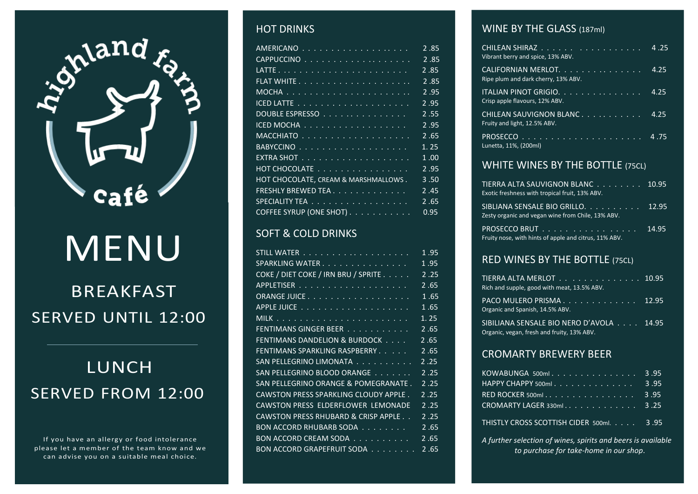

# MENU

# BREAKFAST SERVED UNTIL 12:00

# LUNCH SERVED FROM 12:00

If you have an allergy or food intolerance please let a member of the team know and we can advise you on a suitable meal choice.

#### HOT DRINKS

| <u> AMERICANO</u> <del>.</del>       | 2.85 |
|--------------------------------------|------|
|                                      | 2.85 |
|                                      | 2.85 |
|                                      | 2.85 |
|                                      | 2.95 |
|                                      | 2.95 |
| DOUBLE ESPRESSO <del>.</del> .       | 2.55 |
| ICED MOCHA                           | 2.95 |
|                                      | 2.65 |
|                                      | 1.25 |
|                                      | 1.00 |
| HOT CHOCOLATE                        | 2.95 |
| HOT CHOCOLATE, CREAM & MARSHMALLOWS. | 3.50 |
| FRESHLY BREWED TEA.                  | 2.45 |
| SPECIALITY TEA                       | 2.65 |
| COFFEE SYRUP (ONE SHOT)              | 0.95 |

### **SOFT & COLD DRINKS**

| STILL WATER <del>.</del> .            | 1.95 |
|---------------------------------------|------|
| SPARKLING WATER                       | 1.95 |
| COKE / DIET COKE / IRN BRU / SPRITE   | 2.25 |
|                                       | 2.65 |
| ORANGE JUICE                          | 1.65 |
|                                       | 1.65 |
|                                       | 1.25 |
| FENTIMANS GINGER BEER                 | 2.65 |
| FENTIMANS DANDELION & BURDOCK         | 2.65 |
| FENTIMANS SPARKLING RASPBERRY         | 2.65 |
| SAN PELLEGRINO LIMONATA               | 2.25 |
| SAN PELLEGRINO BLOOD ORANGE           | 2.25 |
| SAN PELLEGRINO ORANGE & POMEGRANATE.  | 2.25 |
| CAWSTON PRESS SPARKLING CLOUDY APPLE. | 2.25 |
| CAWSTON PRESS ELDERFLOWER LEMONADE    | 2.25 |
| CAWSTON PRESS RHUBARD & CRISP APPLE   | 2.25 |
| BON ACCORD RHUBARB SODA               | 2.65 |
| BON ACCORD CREAM SODA                 | 2.65 |
| BON ACCORD GRAPEFRUIT SODA            | 2.65 |

#### WINE BY THE GLASS (187ml)

| CHILEAN SHIRAZ ..................<br>Vibrant berry and spice, 13% ABV. | 4.25 |
|------------------------------------------------------------------------|------|
| CALIFORNIAN MERLOT.<br>Ripe plum and dark cherry, 13% ABV.             | 4.25 |
| <u> ITALIAN PINOT GRIGIO.</u><br>Crisp apple flavours, 12% ABV.        | 4.25 |
| CHILEAN SAUVIGNON BLANC<br>Fruity and light, 12.5% ABV.                | 4.25 |
| Lunetta, 11%, (200ml)                                                  |      |
| WHITE WINIES BY THE BOTTLE (356)                                       |      |

#### WHITE WINES BY THE BOTTLE (75CL)

| TIERRA ALTA SAUVIGNON BLANC 10.95<br>Exotic freshness with tropical fruit, 13% ABV.     |       |
|-----------------------------------------------------------------------------------------|-------|
| SIBLIANA SENSALE BIO GRILLO. 12.95<br>Zesty organic and vegan wine from Chile, 13% ABV. |       |
| PROSECCO BRUT<br>Fruity nose, with hints of apple and citrus, 11% ABV.                  | 14.95 |

#### RED WINES BY THE BOTTLE (75CL)

| TIERRA ALTA MERLOT <del>.</del> . 10.95<br>Rich and supple, good with meat, 13.5% ABV. |  |
|----------------------------------------------------------------------------------------|--|
| PACO MULERO PRISMA. 12.95<br>Organic and Spanish, 14.5% ABV.                           |  |
| SIBILIANA SENSALE BIO NERO D'AVOLA 14.95<br>Organic, vegan, fresh and fruity, 13% ABV. |  |

#### CROMARTY BREWERY BEER

| $KOWABUNGA$ 500ml 3.95                                                                                          |  |
|-----------------------------------------------------------------------------------------------------------------|--|
| HAPPY CHAPPY 500ml $\overline{\ldots}$ 3.95                                                                     |  |
| RED ROCKER 500ml 3.95                                                                                           |  |
| CROMARTY LAGER 330ml $\overline{\cdot \cdot \cdot \cdot \cdot \cdot \cdot \cdot \cdot \cdot \cdot \cdot 3}$ .25 |  |
| THISTLY CROSS SCOTTISH CIDER 500ml. 3.95                                                                        |  |

*A further selection of wines, spirits and beers is available*

*to purchase for take-home in our shop*.